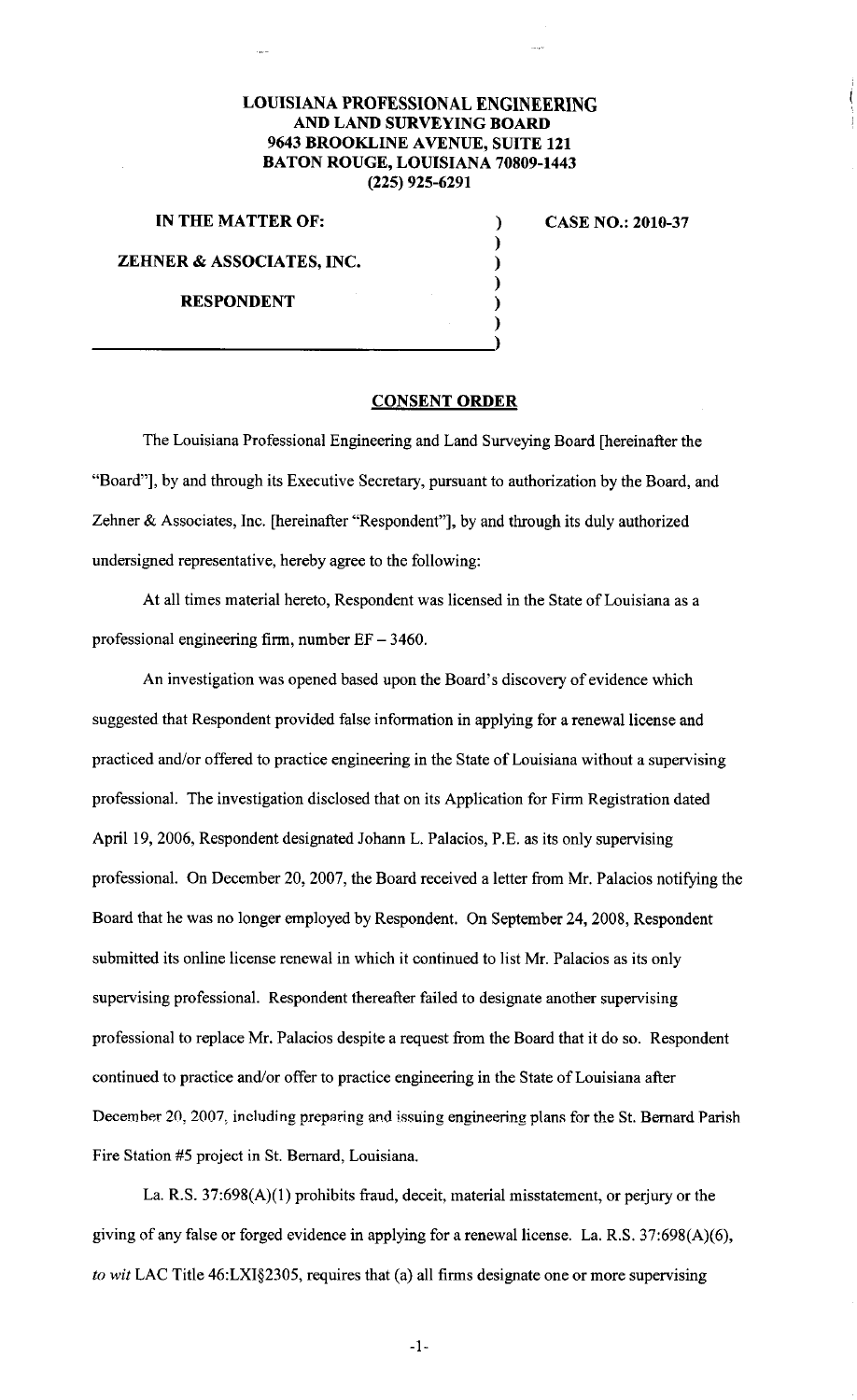## **LOUISIANA PROFESSIONAL ENGINEERING AND LAND SURVEYING BOARD 9643 BROOKLINE A VENUE, SUITE 121 BATON ROUGE, LOUISIANA 70809-1443 (225) 925-6291**

## **IN THE MATTER OF:**

) ) **CASE NO.: 2010-37** 

> ) ) ) )

**ZEHNER & ASSOCIATES, INC.** 

**RESPONDENT** 

## **CONSENT ORDER**

The Louisiana Professional Engineering and Land Surveying Board [hereinafter the "Board"], by and through its Executive Secretary, pursuant to authorization by the Board, and Zehner & Associates, Inc. [hereinafter "Respondent"], by and through its duly authorized undersigned representative, hereby agree to the following:

At all times material hereto, Respondent was licensed in the State of Louisiana as a professional engineering firm, number EF- 3460.

An investigation was opened based upon the Board's discovery of evidence which suggested that Respondent provided false information in applying for a renewal license and practiced and/or offered to practice engineering in the State of Louisiana without a supervising professional. The investigation disclosed that on its Application for Firm Registration dated April 19, 2006, Respondent designated Johann L. Palacios, P.E. as its only supervising professional. On December 20, 2007, the Board received a letter from Mr. Palacios notifying the Board that he was no longer employed by Respondent. On September 24, 2008, Respondent submitted its online license renewal in which it continued to list Mr. Palacios as its only supervising professional. Respondent thereafter failed to designate another supervising professional to replace Mr. Palacios despite a request from the Board that it do so. Respondent continued to practice and/or offer to practice engineering in the State of Louisiana after December 20, 2007, including preparing and issuing engineering plans for the St. Bernard Parish Fire Station #5 project in St. Bernard, Louisiana.

La. R.S. 37:698(A)(l) prohibits fraud, deceit, material misstatement, or perjury or the giving of any false or forged evidence in applying for a renewal license. La. R.S. 37:698(A)(6), *to wit* LAC Title 46:LX1§2305, requires that (a) all firms designate one or more supervising

-1-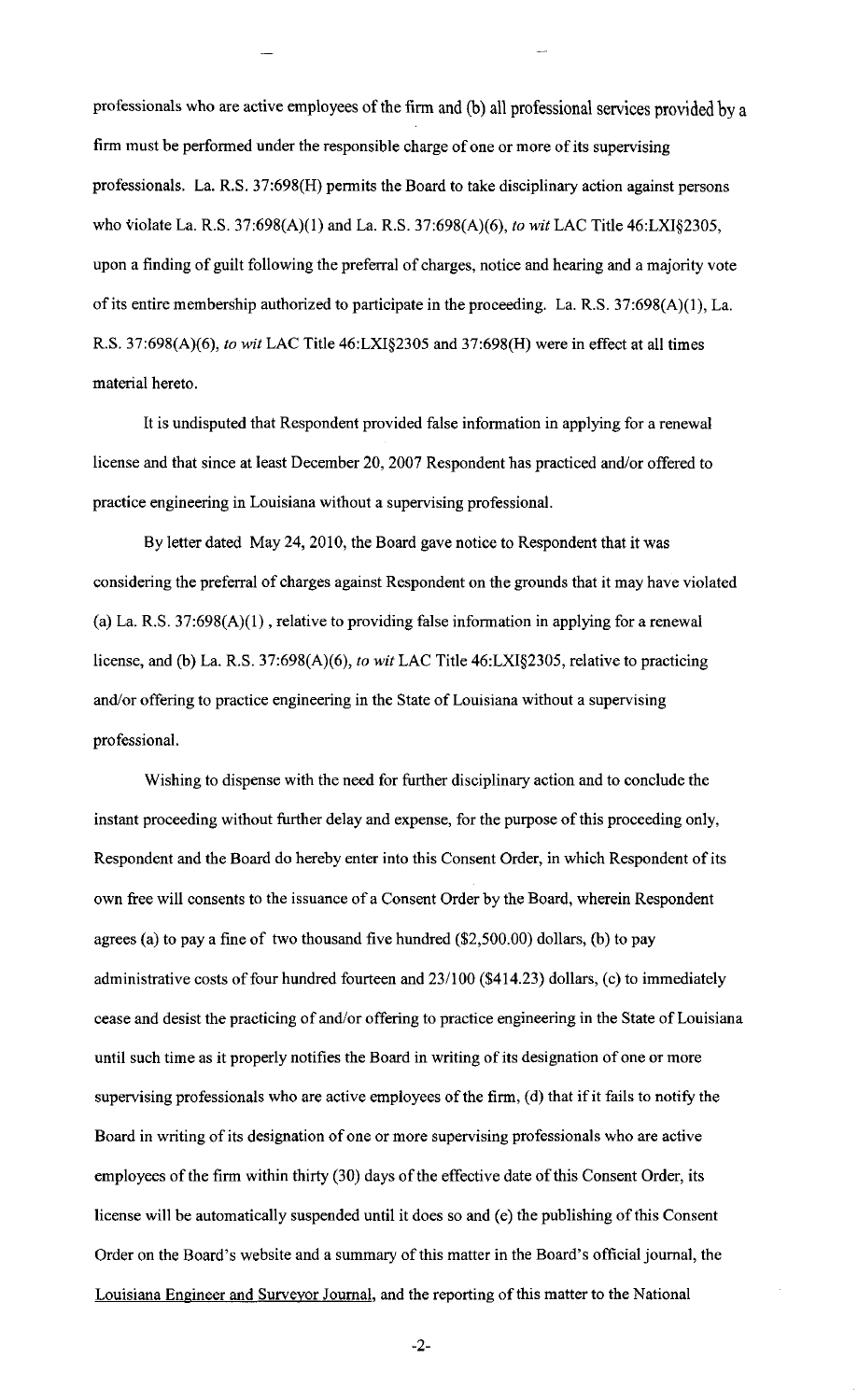professionals who are active employees of the firm and (b) all professional services provided by a firm must be performed under the responsible charge of one or more of its supervising professionals. La. R.S. 37:698(H) permits the Board to take disciplinary action against persons who violate La. R.S. 37:698(A)(l) and La. R.S. 37:698(A)(6), *to wit* LAC Title 46:LX1§2305, upon a finding of guilt following the preferral of charges, notice and hearing and a majority vote of its entire membership authorized to participate in the proceeding. La. R.S. 37:698(A)(l), La. R.S. 37:698(A)(6), *to wit* LAC Title 46:LX1§2305 and 37:698(H) were in effect at all times material hereto.

It is undisputed that Respondent provided false information in applying for a renewal license and that since at least December 20, 2007 Respondent has practiced and/or offered to practice engineering in Louisiana without a supervising professional.

By letter dated May 24, 2010, the Board gave notice to Respondent that it was considering the preferral of charges against Respondent on the grounds that it may have violated (a) La. R.S.  $37:698(A)(1)$ , relative to providing false information in applying for a renewal license, and (b) La. R.S. 37:698(A)(6), *to wit* LAC Title 46:LXI§2305, relative to practicing and/or offering to practice engineering in the State of Louisiana without a supervising professional.

Wishing to dispense with the need for further disciplinary action and to conclude the instant proceeding without further delay and expense, for the purpose of this proceeding only, Respondent and the Board do hereby enter into this Consent Order, in which Respondent of its own free will consents to the issuance of a Consent Order by the Board, wherein Respondent agrees (a) to pay a fine of two thousand five hundred (\$2,500.00) dollars, (b) to pay administrative costs of four hundred fourteen and 23/100 (\$414.23) dollars, (c) to immediately cease and desist the practicing of and/or offering to practice engineering in the State of Louisiana until such time as it properly notifies the Board in writing of its designation of one or more supervising professionals who are active employees of the firm, (d) that if it fails to notify the Board in writing of its designation of one or more supervising professionals who are active employees of the firm within thirty (30) days of the effective date of this Consent Order, its license will be automatically suspended until it does so and (e) the publishing of this Consent Order on the Board's website and a summary of this matter in the Board's official journal, the Louisiana Engineer and Surveyor Journal, and the reporting of this matter to the National

-2-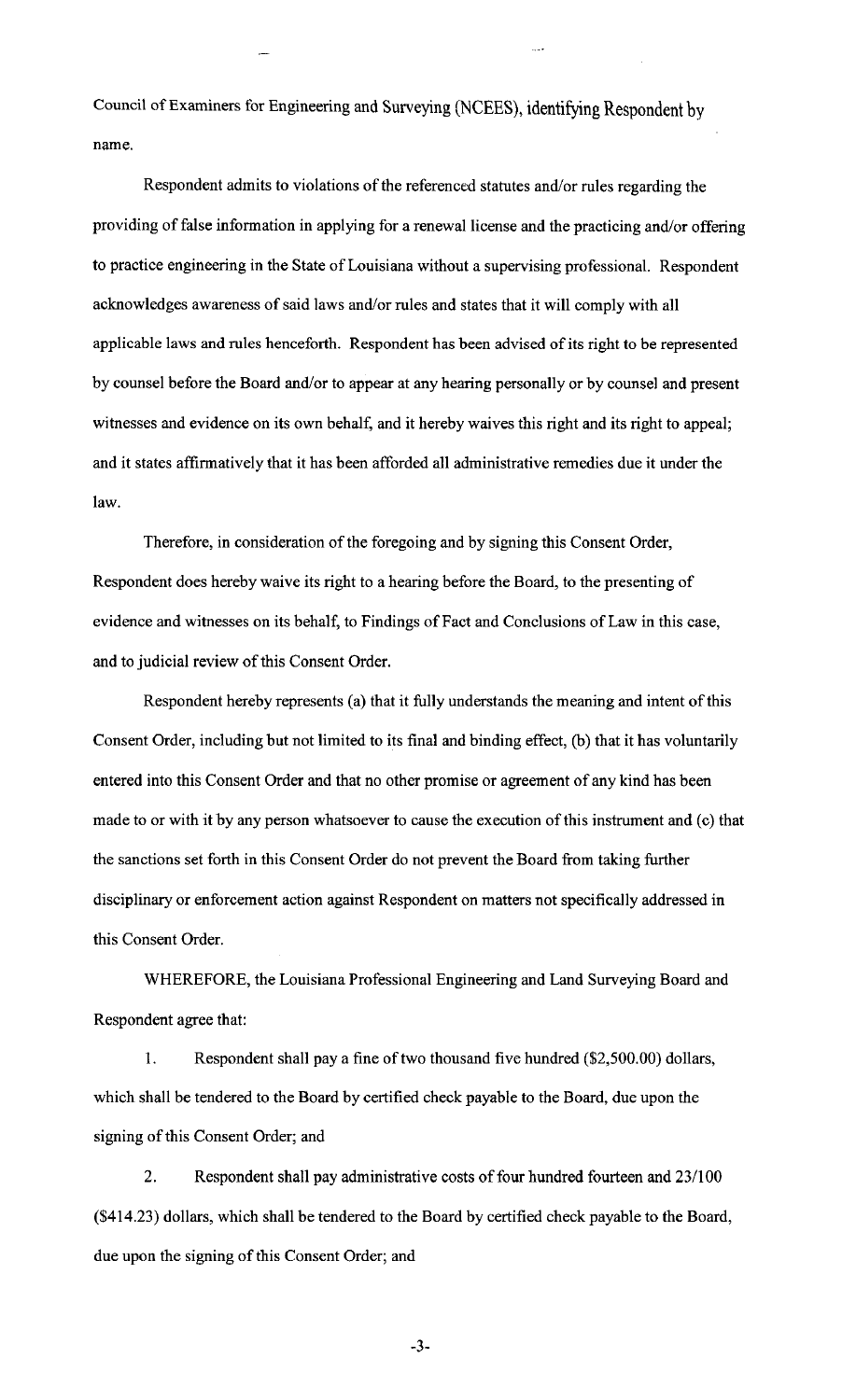Council of Examiners for Engineering and Surveying (NCEES), identifying Respondent by name.

Respondent admits to violations of the referenced statutes and/or rules regarding the providing of false information in applying for a renewal license and the practicing and/or offering to practice engineering in the State of Louisiana without a supervising professional. Respondent acknowledges awareness of said laws and/or rules and states that it will comply with all applicable laws and rules henceforth. Respondent has been advised of its right to be represented by counsel before the Board and/or to appear at any hearing personally or by counsel and present witnesses and evidence on its own behalf, and it hereby waives this right and its right to appeal; and it states affirmatively that it has been afforded all administrative remedies due it under the law.

Therefore, in consideration of the foregoing and by signing this Consent Order, Respondent does hereby waive its right to a hearing before the Board, to the presenting of evidence and witnesses on its behalf, to Findings of Fact and Conclusions of Law in this case, and to judicial review of this Consent Order.

Respondent hereby represents (a) that it fully understands the meaning and intent of this Consent Order, including but not limited to its final and binding effect, (b) that it has voluntarily entered into this Consent Order and that no other promise or agreement of any kind has been made to or with it by any person whatsoever to cause the execution of this instrument and (c) that the sanctions set forth in this Consent Order do not prevent the Board from taking further disciplinary or enforcement action against Respondent on matters not specifically addressed in this Consent Order.

WHEREFORE, the Louisiana Professional Engineering and Land Surveying Board and Respondent agree that:

1. Respondent shall pay a fine of two thousand five hundred (\$2,500.00) dollars, which shall be tendered to the Board by certified check payable to the Board, due upon the signing of this Consent Order; and

2. Respondent shall pay administrative costs of four hundred fourteen and 23/100 (\$414.23) dollars, which shall be tendered to the Board by certified check payable to the Board, due upon the signing of this Consent Order; and

-3-